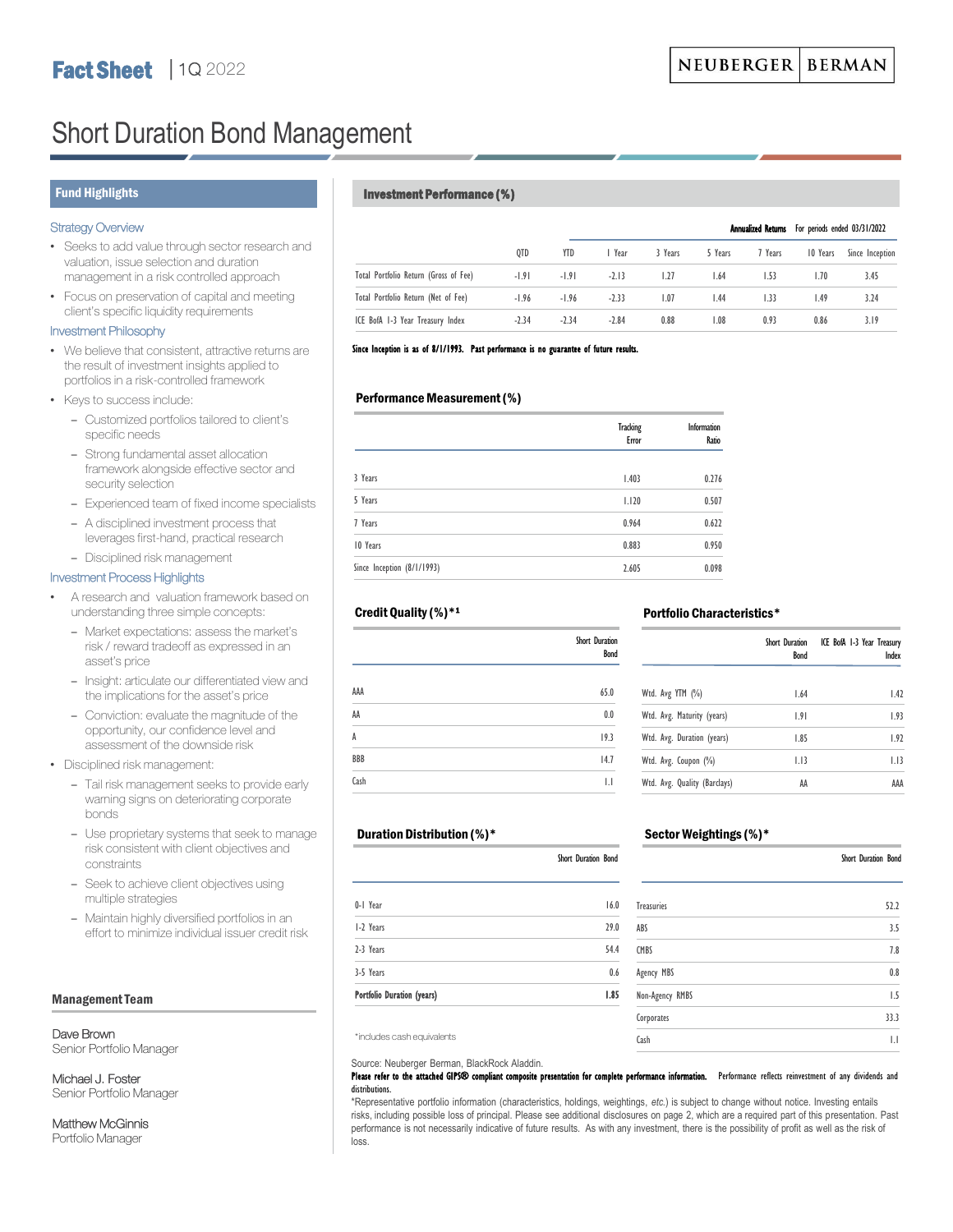# Short Duration Bond Management

## Strategy Overview

- Seeks to add value through sector research and valuation, issue selection and duration management in a risk controlled approach
- Focus on preservation of capital and meeting client's specific liquidity requirements

#### Investment Philosophy

- We believe that consistent, attractive returns are the result of investment insights applied to portfolios in a risk-controlled framework
- Keys to success include:
	- Customized portfolios tailored to client's specific needs
	- Strong fundamental asset allocation framework alongside effective sector and security selection
	- Experienced team of fixed income specialists
	- A disciplined investment process that leverages first-hand, practical research
	- Disciplined risk management

# Investment Process Highlights

- A research and valuation framework based on understanding three simple concepts:
	- Market expectations: assess the market's risk / reward tradeoff as expressed in an asset's price
	- Insight: articulate our differentiated view and the implications for the asset's price
	- Conviction: evaluate the magnitude of the opportunity, our confidence level and assessment of the downside risk

• Disciplined risk management:

- Tail risk management seeks to provide early warning signs on deteriorating corporate bonds
- Use proprietary systems that seek to manage risk consistent with client objectives and constraints
- Seek to achieve client objectives using multiple strategies
- Maintain highly diversified portfolios in an effort to minimize individual issuer credit risk

#### Management Team

Dave Brown

Senior Portfolio Manager

Michael J. Foster Senior Portfolio Manager

Matthew McGinnis Portfolio Manager

# Fund Highlights **Investment Performance (%)**

|                                       |         |         |         |         |         |         |          | Annualized Returns For periods ended 03/31/2022 |  |
|---------------------------------------|---------|---------|---------|---------|---------|---------|----------|-------------------------------------------------|--|
|                                       | QTD     | YTD     | l Year  | 3 Years | 5 Years | 7 Years | 10 Years | Since Inception                                 |  |
| Total Portfolio Return (Gross of Fee) | $-1.91$ | $-1.91$ | $-2.13$ | 1.27    | 1.64    | 1.53    | 1.70     | 3.45                                            |  |
| Total Portfolio Return (Net of Fee)   | $-1.96$ | $-1.96$ | $-2.33$ | 1.07    | 1.44    | 1.33    | 1.49     | 3.24                                            |  |
| ICE BofA 1-3 Year Treasury Index      | $-2.34$ | $-2.34$ | $-2.84$ | 0.88    | 1.08    | 0.93    | 0.86     | 3.19                                            |  |

#### Since Inception is as of 8/1/1993. Past performance is no guarantee of future results.

### Performance Measurement (%)

|                            | <b>Tracking</b><br>Error | Information<br>Ratio |
|----------------------------|--------------------------|----------------------|
| 3 Years                    | 1.403                    | 0.276                |
| 5 Years                    | 1.120                    | 0.507                |
| 7 Years                    | 0.964                    | 0.622                |
| 10 Years                   | 0.883                    | 0.950                |
| Since Inception (8/1/1993) | 2.605                    | 0.098                |

## Credit Quality (%)\*1

|            | Short Duration<br>Bond |
|------------|------------------------|
| AAA        | 65.0                   |
| AA         | 0.0                    |
| A          | 19.3                   |
| <b>BBB</b> | 14.7                   |
| Cash       | IJ                     |

#### ICE BofA 1-3 Year Treasury Short Duration Bond

Portfolio Characteristics\*

| Wtd. Avg YTM (%)             | 1.64 | 1.42 |  |
|------------------------------|------|------|--|
| Wtd. Avg. Maturity (years)   | 1.91 | 1.93 |  |
| Wtd. Avg. Duration (years)   | 1.85 | 1.92 |  |
| Wtd. Avg. Coupon (%)         | 1.13 | 1.13 |  |
| Wtd. Avg. Quality (Barclays) | AA   | AAA  |  |

Index

#### Duration Distribution (%)\*

|                            | Short Duration Bond |
|----------------------------|---------------------|
| 0-1 Year                   | 16.0                |
| 1-2 Years                  | 29.0                |
| 2-3 Years                  | 54.4                |
| 3-5 Years                  | 0.6                 |
| Portfolio Duration (years) | 1.85                |

### Sector Weightings (%)\*

|                   | Short Duration Bond |
|-------------------|---------------------|
| <b>Treasuries</b> | 52.2                |
| ABS               | 3.5                 |
| CMBS              | 7.8                 |
| Agency MBS        | 0.8                 |
| Non-Agency RMBS   | 1.5                 |
| Corporates        | 33.3                |
| Cash              | IJ                  |

\*includes cash equivalents

#### Source: Neuberger Berman, BlackRock Aladdin.

#### Please refer to the attached GIPS® compliant composite presentation for complete performance information. Performance reflects reinvestment of any dividends and distributions.

\*Representative portfolio information (characteristics, holdings, weightings, *etc.*) is subject to change without notice. Investing entails risks, including possible loss of principal. Please see additional disclosures on page 2, which are a required part of this presentation. Past performance is not necessarily indicative of future results. As with any investment, there is the possibility of profit as well as the risk of loss.